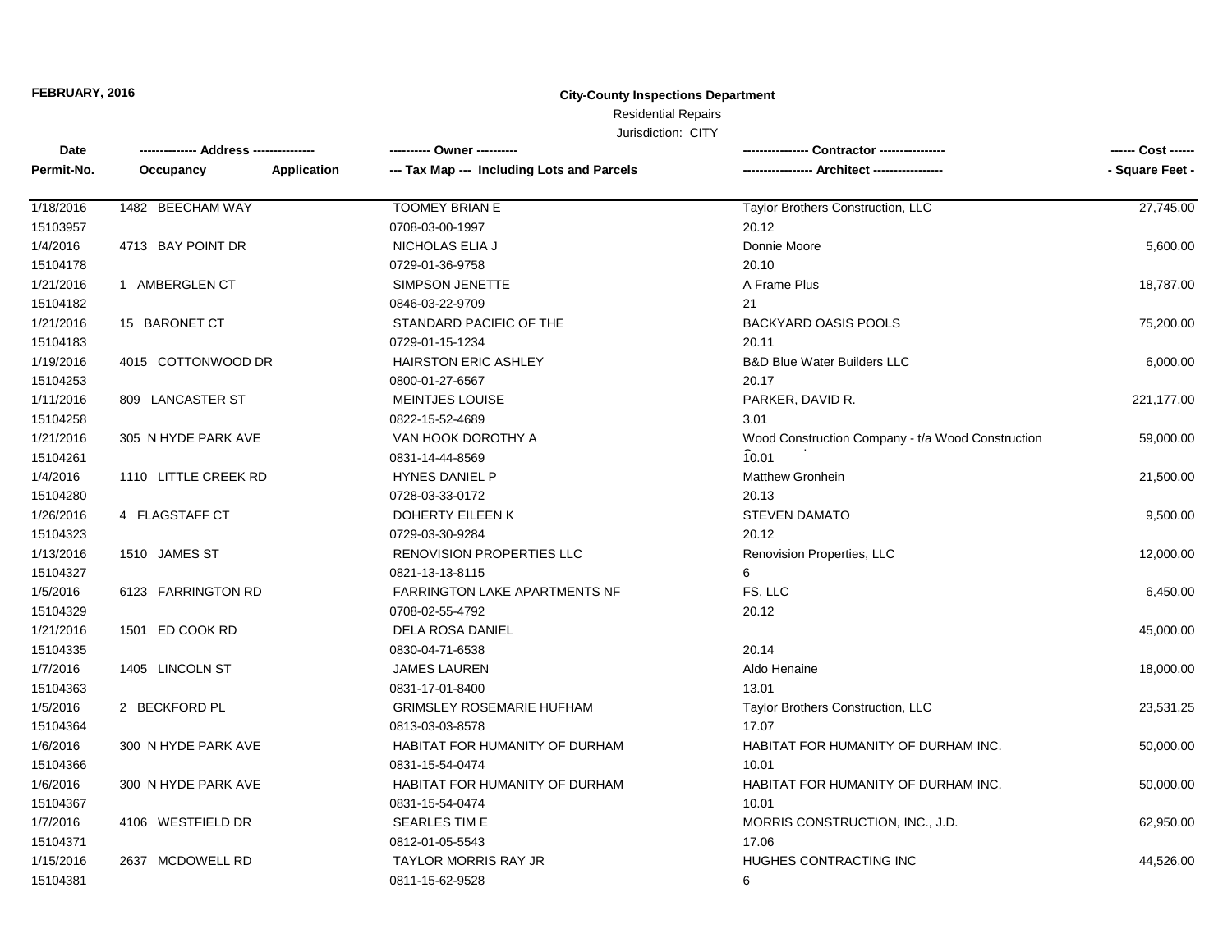# Residential Repairs

| Date       | -------------- Address --------------- |             | ---------- Owner ----------                |                                                   | ------ Cost ------ |
|------------|----------------------------------------|-------------|--------------------------------------------|---------------------------------------------------|--------------------|
| Permit-No. | Occupancy                              | Application | --- Tax Map --- Including Lots and Parcels | - Architect -----------------                     | - Square Feet -    |
| 1/18/2016  | 1482 BEECHAM WAY                       |             | <b>TOOMEY BRIAN E</b>                      | Taylor Brothers Construction, LLC                 | 27,745.00          |
| 15103957   |                                        |             | 0708-03-00-1997                            | 20.12                                             |                    |
| 1/4/2016   | 4713 BAY POINT DR                      |             | NICHOLAS ELIA J                            | Donnie Moore                                      | 5,600.00           |
| 15104178   |                                        |             | 0729-01-36-9758                            | 20.10                                             |                    |
| 1/21/2016  | 1 AMBERGLEN CT                         |             | SIMPSON JENETTE                            | A Frame Plus                                      | 18,787.00          |
| 15104182   |                                        |             | 0846-03-22-9709                            | 21                                                |                    |
| 1/21/2016  | 15 BARONET CT                          |             | STANDARD PACIFIC OF THE                    | <b>BACKYARD OASIS POOLS</b>                       | 75,200.00          |
| 15104183   |                                        |             | 0729-01-15-1234                            | 20.11                                             |                    |
| 1/19/2016  | 4015 COTTONWOOD DR                     |             | <b>HAIRSTON ERIC ASHLEY</b>                | <b>B&amp;D Blue Water Builders LLC</b>            | 6,000.00           |
| 15104253   |                                        |             | 0800-01-27-6567                            | 20.17                                             |                    |
| 1/11/2016  | 809 LANCASTER ST                       |             | <b>MEINTJES LOUISE</b>                     | PARKER, DAVID R.                                  | 221,177.00         |
| 15104258   |                                        |             | 0822-15-52-4689                            | 3.01                                              |                    |
| 1/21/2016  | 305 N HYDE PARK AVE                    |             | VAN HOOK DOROTHY A                         | Wood Construction Company - t/a Wood Construction | 59,000.00          |
| 15104261   |                                        |             | 0831-14-44-8569                            | 10.01                                             |                    |
| 1/4/2016   | 1110 LITTLE CREEK RD                   |             | <b>HYNES DANIEL P</b>                      | <b>Matthew Gronhein</b>                           | 21,500.00          |
| 15104280   |                                        |             | 0728-03-33-0172                            | 20.13                                             |                    |
| 1/26/2016  | 4 FLAGSTAFF CT                         |             | DOHERTY EILEEN K                           | STEVEN DAMATO                                     | 9,500.00           |
| 15104323   |                                        |             | 0729-03-30-9284                            | 20.12                                             |                    |
| 1/13/2016  | 1510 JAMES ST                          |             | <b>RENOVISION PROPERTIES LLC</b>           | Renovision Properties, LLC                        | 12,000.00          |
| 15104327   |                                        |             | 0821-13-13-8115                            | 6                                                 |                    |
| 1/5/2016   | 6123 FARRINGTON RD                     |             | <b>FARRINGTON LAKE APARTMENTS NF</b>       | FS, LLC                                           | 6,450.00           |
| 15104329   |                                        |             | 0708-02-55-4792                            | 20.12                                             |                    |
| 1/21/2016  | 1501 ED COOK RD                        |             | DELA ROSA DANIEL                           |                                                   | 45,000.00          |
| 15104335   |                                        |             | 0830-04-71-6538                            | 20.14                                             |                    |
| 1/7/2016   | 1405 LINCOLN ST                        |             | <b>JAMES LAUREN</b>                        | Aldo Henaine                                      | 18,000.00          |
| 15104363   |                                        |             | 0831-17-01-8400                            | 13.01                                             |                    |
| 1/5/2016   | 2 BECKFORD PL                          |             | <b>GRIMSLEY ROSEMARIE HUFHAM</b>           | Taylor Brothers Construction, LLC                 | 23,531.25          |
| 15104364   |                                        |             | 0813-03-03-8578                            | 17.07                                             |                    |
| 1/6/2016   | 300 N HYDE PARK AVE                    |             | HABITAT FOR HUMANITY OF DURHAM             | HABITAT FOR HUMANITY OF DURHAM INC.               | 50,000.00          |
| 15104366   |                                        |             | 0831-15-54-0474                            | 10.01                                             |                    |
| 1/6/2016   | 300 N HYDE PARK AVE                    |             | HABITAT FOR HUMANITY OF DURHAM             | HABITAT FOR HUMANITY OF DURHAM INC.               | 50,000.00          |
| 15104367   |                                        |             | 0831-15-54-0474                            | 10.01                                             |                    |
| 1/7/2016   | 4106 WESTFIELD DR                      |             | <b>SEARLES TIM E</b>                       | MORRIS CONSTRUCTION, INC., J.D.                   | 62,950.00          |
| 15104371   |                                        |             | 0812-01-05-5543                            | 17.06                                             |                    |
| 1/15/2016  | 2637 MCDOWELL RD                       |             | <b>TAYLOR MORRIS RAY JR</b>                | HUGHES CONTRACTING INC                            | 44,526.00          |
| 15104381   |                                        |             | 0811-15-62-9528                            | 6                                                 |                    |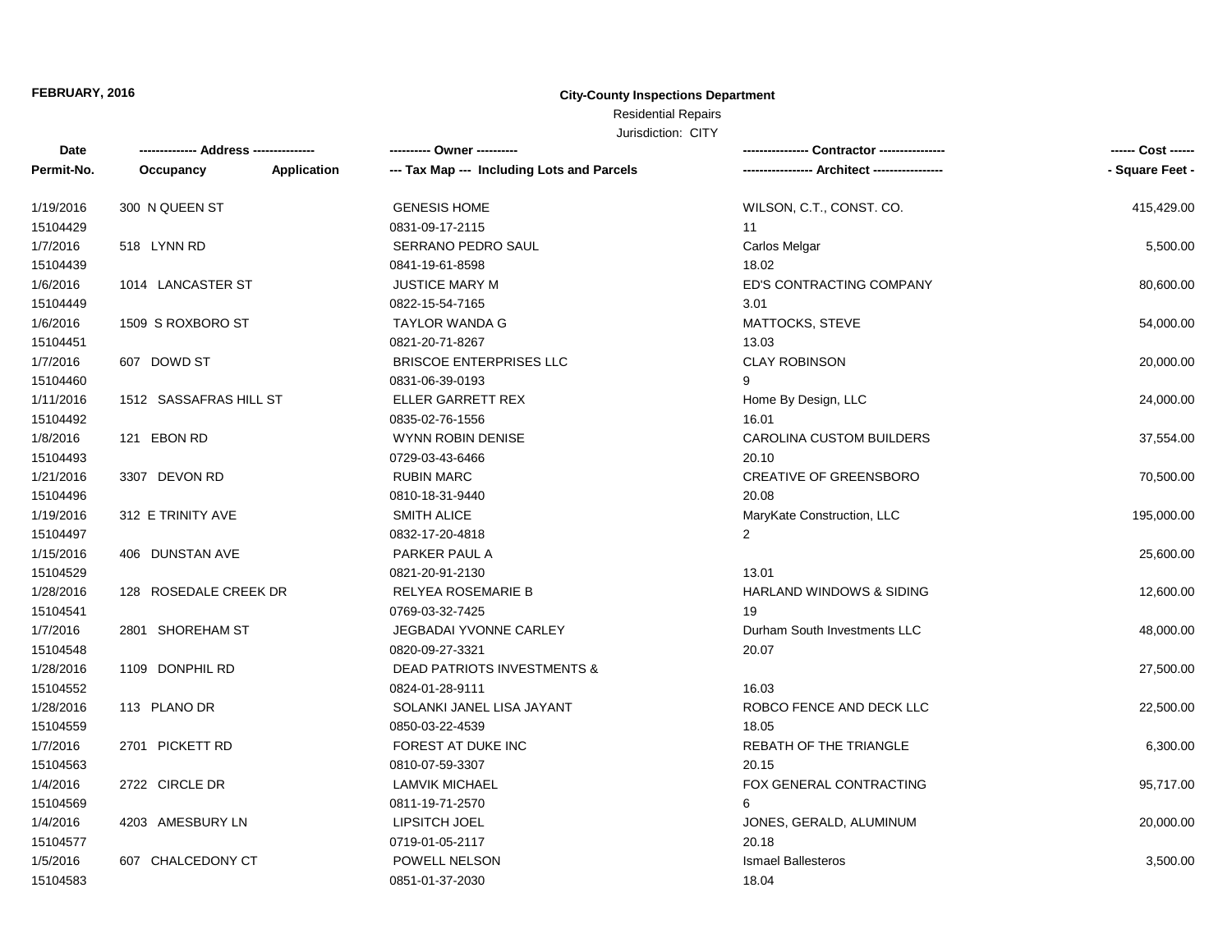# Residential Repairs

| Date       |                        |                    | ---------- Owner ----------                |                               | ------ Cost ------ |
|------------|------------------------|--------------------|--------------------------------------------|-------------------------------|--------------------|
| Permit-No. | Occupancy              | <b>Application</b> | --- Tax Map --- Including Lots and Parcels |                               | - Square Feet -    |
| 1/19/2016  | 300 N QUEEN ST         |                    | <b>GENESIS HOME</b>                        | WILSON, C.T., CONST. CO.      | 415,429.00         |
| 15104429   |                        |                    | 0831-09-17-2115                            | 11                            |                    |
| 1/7/2016   | 518 LYNN RD            |                    | SERRANO PEDRO SAUL                         | Carlos Melgar                 | 5,500.00           |
| 15104439   |                        |                    | 0841-19-61-8598                            | 18.02                         |                    |
| 1/6/2016   | 1014 LANCASTER ST      |                    | <b>JUSTICE MARY M</b>                      | ED'S CONTRACTING COMPANY      | 80,600.00          |
| 15104449   |                        |                    | 0822-15-54-7165                            | 3.01                          |                    |
| 1/6/2016   | 1509 S ROXBORO ST      |                    | <b>TAYLOR WANDA G</b>                      | MATTOCKS, STEVE               | 54,000.00          |
| 15104451   |                        |                    | 0821-20-71-8267                            | 13.03                         |                    |
| 1/7/2016   | 607 DOWD ST            |                    | <b>BRISCOE ENTERPRISES LLC</b>             | <b>CLAY ROBINSON</b>          | 20,000.00          |
| 15104460   |                        |                    | 0831-06-39-0193                            | 9                             |                    |
| 1/11/2016  | 1512 SASSAFRAS HILL ST |                    | ELLER GARRETT REX                          | Home By Design, LLC           | 24,000.00          |
| 15104492   |                        |                    | 0835-02-76-1556                            | 16.01                         |                    |
| 1/8/2016   | 121 EBON RD            |                    | WYNN ROBIN DENISE                          | CAROLINA CUSTOM BUILDERS      | 37,554.00          |
| 15104493   |                        |                    | 0729-03-43-6466                            | 20.10                         |                    |
| 1/21/2016  | 3307 DEVON RD          |                    | <b>RUBIN MARC</b>                          | <b>CREATIVE OF GREENSBORO</b> | 70,500.00          |
| 15104496   |                        |                    | 0810-18-31-9440                            | 20.08                         |                    |
| 1/19/2016  | 312 E TRINITY AVE      |                    | <b>SMITH ALICE</b>                         | MaryKate Construction, LLC    | 195,000.00         |
| 15104497   |                        |                    | 0832-17-20-4818                            | $\overline{2}$                |                    |
| 1/15/2016  | 406 DUNSTAN AVE        |                    | PARKER PAUL A                              |                               | 25,600.00          |
| 15104529   |                        |                    | 0821-20-91-2130                            | 13.01                         |                    |
| 1/28/2016  | 128 ROSEDALE CREEK DR  |                    | RELYEA ROSEMARIE B                         | HARLAND WINDOWS & SIDING      | 12,600.00          |
| 15104541   |                        |                    | 0769-03-32-7425                            | 19                            |                    |
| 1/7/2016   | 2801 SHOREHAM ST       |                    | JEGBADAI YVONNE CARLEY                     | Durham South Investments LLC  | 48,000.00          |
| 15104548   |                        |                    | 0820-09-27-3321                            | 20.07                         |                    |
| 1/28/2016  | 1109 DONPHIL RD        |                    | DEAD PATRIOTS INVESTMENTS &                |                               | 27,500.00          |
| 15104552   |                        |                    | 0824-01-28-9111                            | 16.03                         |                    |
| 1/28/2016  | 113 PLANO DR           |                    | SOLANKI JANEL LISA JAYANT                  | ROBCO FENCE AND DECK LLC      | 22,500.00          |
| 15104559   |                        |                    | 0850-03-22-4539                            | 18.05                         |                    |
| 1/7/2016   | 2701 PICKETT RD        |                    | FOREST AT DUKE INC                         | REBATH OF THE TRIANGLE        | 6,300.00           |
| 15104563   |                        |                    | 0810-07-59-3307                            | 20.15                         |                    |
| 1/4/2016   | 2722 CIRCLE DR         |                    | <b>LAMVIK MICHAEL</b>                      | FOX GENERAL CONTRACTING       | 95,717.00          |
| 15104569   |                        |                    | 0811-19-71-2570                            | 6                             |                    |
| 1/4/2016   | 4203 AMESBURY LN       |                    | LIPSITCH JOEL                              | JONES, GERALD, ALUMINUM       | 20,000.00          |
| 15104577   |                        |                    | 0719-01-05-2117                            | 20.18                         |                    |
| 1/5/2016   | 607 CHALCEDONY CT      |                    | POWELL NELSON                              | <b>Ismael Ballesteros</b>     | 3,500.00           |
| 15104583   |                        |                    | 0851-01-37-2030                            | 18.04                         |                    |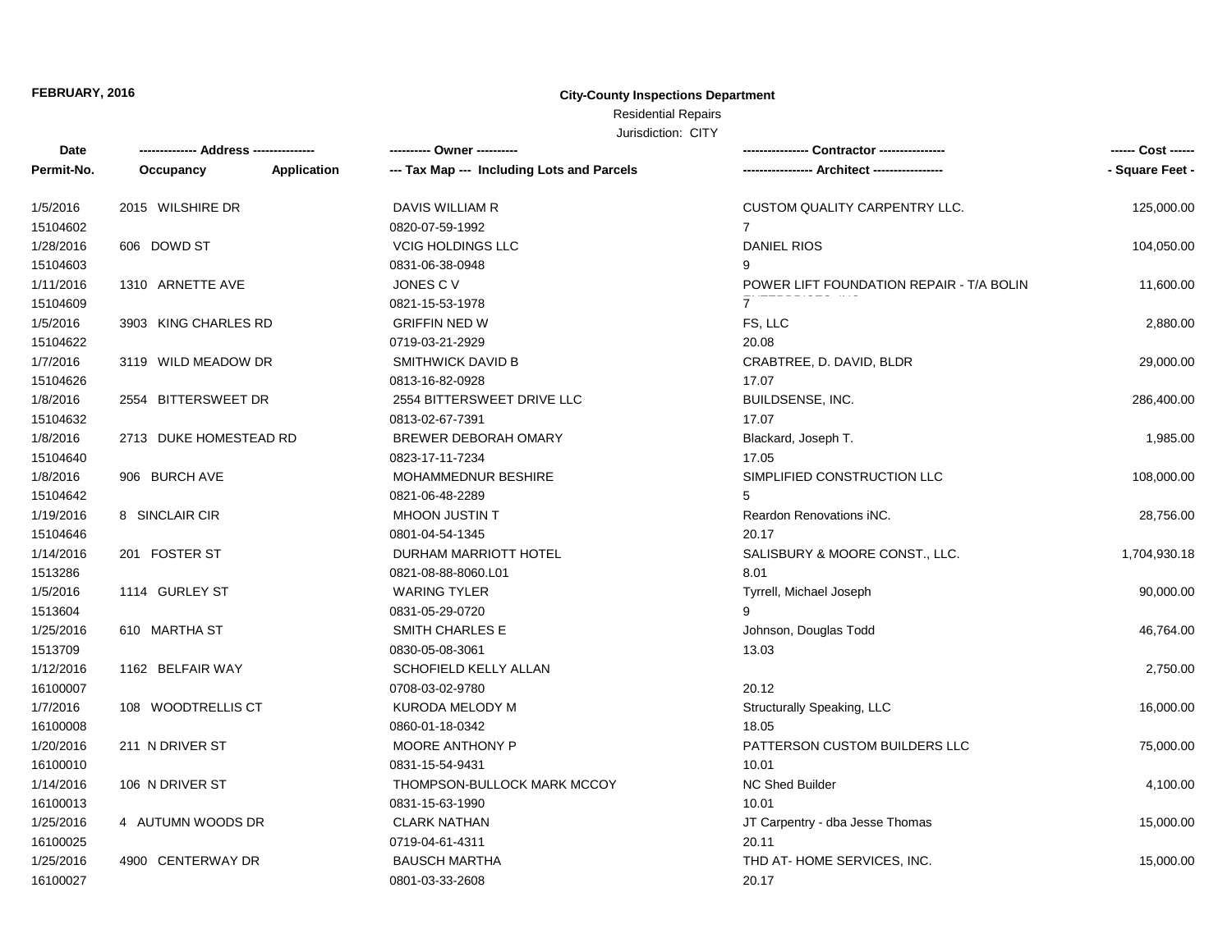# Residential Repairs

| Date       | -------------- Address --------------- |             | ---------- Owner ----------                |                                           | ------ Cost ------ |
|------------|----------------------------------------|-------------|--------------------------------------------|-------------------------------------------|--------------------|
| Permit-No. | Occupancy                              | Application | --- Tax Map --- Including Lots and Parcels | ----------------- Architect ------------- | - Square Feet -    |
| 1/5/2016   | 2015 WILSHIRE DR                       |             | DAVIS WILLIAM R                            | <b>CUSTOM QUALITY CARPENTRY LLC.</b>      | 125,000.00         |
| 15104602   |                                        |             | 0820-07-59-1992                            | $\mathbf{7}$                              |                    |
| 1/28/2016  | 606 DOWD ST                            |             | <b>VCIG HOLDINGS LLC</b>                   | <b>DANIEL RIOS</b>                        | 104,050.00         |
| 15104603   |                                        |             | 0831-06-38-0948                            |                                           |                    |
| 1/11/2016  | 1310 ARNETTE AVE                       |             | JONES C V                                  | POWER LIFT FOUNDATION REPAIR - T/A BOLIN  | 11,600.00          |
| 15104609   |                                        |             | 0821-15-53-1978                            | $7^{\circ}$                               |                    |
| 1/5/2016   | 3903 KING CHARLES RD                   |             | <b>GRIFFIN NED W</b>                       | FS, LLC                                   | 2,880.00           |
| 15104622   |                                        |             | 0719-03-21-2929                            | 20.08                                     |                    |
| 1/7/2016   | 3119 WILD MEADOW DR                    |             | <b>SMITHWICK DAVID B</b>                   | CRABTREE, D. DAVID, BLDR                  | 29,000.00          |
| 15104626   |                                        |             | 0813-16-82-0928                            | 17.07                                     |                    |
| 1/8/2016   | 2554 BITTERSWEET DR                    |             | 2554 BITTERSWEET DRIVE LLC                 | BUILDSENSE, INC.                          | 286,400.00         |
| 15104632   |                                        |             | 0813-02-67-7391                            | 17.07                                     |                    |
| 1/8/2016   | 2713 DUKE HOMESTEAD RD                 |             | BREWER DEBORAH OMARY                       | Blackard, Joseph T.                       | 1,985.00           |
| 15104640   |                                        |             | 0823-17-11-7234                            | 17.05                                     |                    |
| 1/8/2016   | 906 BURCH AVE                          |             | MOHAMMEDNUR BESHIRE                        | SIMPLIFIED CONSTRUCTION LLC               | 108,000.00         |
| 15104642   |                                        |             | 0821-06-48-2289                            |                                           |                    |
| 1/19/2016  | 8 SINCLAIR CIR                         |             | MHOON JUSTIN T                             | Reardon Renovations iNC.                  | 28,756.00          |
| 15104646   |                                        |             | 0801-04-54-1345                            | 20.17                                     |                    |
| 1/14/2016  | 201 FOSTER ST                          |             | DURHAM MARRIOTT HOTEL                      | SALISBURY & MOORE CONST., LLC.            | 1,704,930.18       |
| 1513286    |                                        |             | 0821-08-88-8060.L01                        | 8.01                                      |                    |
| 1/5/2016   | 1114 GURLEY ST                         |             | <b>WARING TYLER</b>                        | Tyrrell, Michael Joseph                   | 90,000.00          |
| 1513604    |                                        |             | 0831-05-29-0720                            |                                           |                    |
| 1/25/2016  | 610 MARTHA ST                          |             | SMITH CHARLES E                            | Johnson, Douglas Todd                     | 46,764.00          |
| 1513709    |                                        |             | 0830-05-08-3061                            | 13.03                                     |                    |
| 1/12/2016  | 1162 BELFAIR WAY                       |             | SCHOFIELD KELLY ALLAN                      |                                           | 2,750.00           |
| 16100007   |                                        |             | 0708-03-02-9780                            | 20.12                                     |                    |
| 1/7/2016   | 108 WOODTRELLIS CT                     |             | KURODA MELODY M                            | Structurally Speaking, LLC                | 16,000.00          |
| 16100008   |                                        |             | 0860-01-18-0342                            | 18.05                                     |                    |
| 1/20/2016  | 211 N DRIVER ST                        |             | <b>MOORE ANTHONY P</b>                     | PATTERSON CUSTOM BUILDERS LLC             | 75,000.00          |
| 16100010   |                                        |             | 0831-15-54-9431                            | 10.01                                     |                    |
| 1/14/2016  | 106 N DRIVER ST                        |             | THOMPSON-BULLOCK MARK MCCOY                | NC Shed Builder                           | 4,100.00           |
| 16100013   |                                        |             | 0831-15-63-1990                            | 10.01                                     |                    |
| 1/25/2016  | 4 AUTUMN WOODS DR                      |             | <b>CLARK NATHAN</b>                        | JT Carpentry - dba Jesse Thomas           | 15,000.00          |
| 16100025   |                                        |             | 0719-04-61-4311                            | 20.11                                     |                    |
| 1/25/2016  | 4900 CENTERWAY DR                      |             | <b>BAUSCH MARTHA</b>                       | THD AT-HOME SERVICES, INC.                | 15,000.00          |
| 16100027   |                                        |             | 0801-03-33-2608                            | 20.17                                     |                    |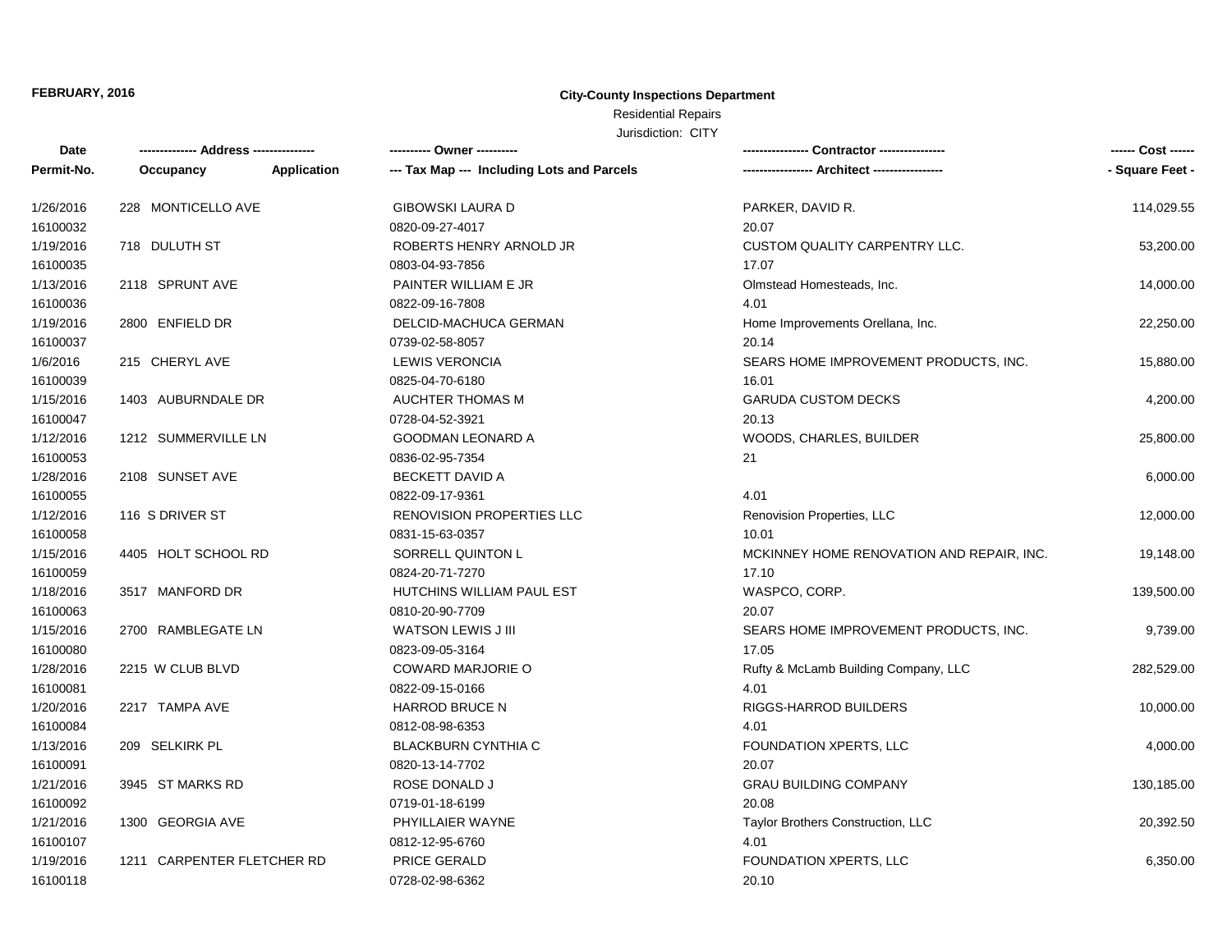## Residential Repairs

| Date       | -------------- Address --------------- |             |                                            |                                           | ------ Cost ------ |
|------------|----------------------------------------|-------------|--------------------------------------------|-------------------------------------------|--------------------|
| Permit-No. | Occupancy                              | Application | --- Tax Map --- Including Lots and Parcels |                                           | - Square Feet -    |
| 1/26/2016  | 228 MONTICELLO AVE                     |             | <b>GIBOWSKI LAURA D</b>                    | PARKER, DAVID R.                          | 114,029.55         |
| 16100032   |                                        |             | 0820-09-27-4017                            | 20.07                                     |                    |
| 1/19/2016  | 718 DULUTH ST                          |             | ROBERTS HENRY ARNOLD JR                    | <b>CUSTOM QUALITY CARPENTRY LLC.</b>      | 53,200.00          |
| 16100035   |                                        |             | 0803-04-93-7856                            | 17.07                                     |                    |
| 1/13/2016  | 2118 SPRUNT AVE                        |             | PAINTER WILLIAM E JR                       | Olmstead Homesteads, Inc.                 | 14,000.00          |
| 16100036   |                                        |             | 0822-09-16-7808                            | 4.01                                      |                    |
| 1/19/2016  | 2800 ENFIELD DR                        |             | DELCID-MACHUCA GERMAN                      | Home Improvements Orellana, Inc.          | 22,250.00          |
| 16100037   |                                        |             | 0739-02-58-8057                            | 20.14                                     |                    |
| 1/6/2016   | 215 CHERYL AVE                         |             | <b>LEWIS VERONCIA</b>                      | SEARS HOME IMPROVEMENT PRODUCTS, INC.     | 15,880.00          |
| 16100039   |                                        |             | 0825-04-70-6180                            | 16.01                                     |                    |
| 1/15/2016  | 1403 AUBURNDALE DR                     |             | AUCHTER THOMAS M                           | <b>GARUDA CUSTOM DECKS</b>                | 4,200.00           |
| 16100047   |                                        |             | 0728-04-52-3921                            | 20.13                                     |                    |
| 1/12/2016  | 1212 SUMMERVILLE LN                    |             | <b>GOODMAN LEONARD A</b>                   | WOODS, CHARLES, BUILDER                   | 25,800.00          |
| 16100053   |                                        |             | 0836-02-95-7354                            | 21                                        |                    |
| 1/28/2016  | 2108 SUNSET AVE                        |             | <b>BECKETT DAVID A</b>                     |                                           | 6,000.00           |
| 16100055   |                                        |             | 0822-09-17-9361                            | 4.01                                      |                    |
| 1/12/2016  | 116 S DRIVER ST                        |             | <b>RENOVISION PROPERTIES LLC</b>           | Renovision Properties, LLC                | 12,000.00          |
| 16100058   |                                        |             | 0831-15-63-0357                            | 10.01                                     |                    |
| 1/15/2016  | 4405 HOLT SCHOOL RD                    |             | SORRELL QUINTON L                          | MCKINNEY HOME RENOVATION AND REPAIR, INC. | 19,148.00          |
| 16100059   |                                        |             | 0824-20-71-7270                            | 17.10                                     |                    |
| 1/18/2016  | 3517 MANFORD DR                        |             | HUTCHINS WILLIAM PAUL EST                  | WASPCO, CORP.                             | 139,500.00         |
| 16100063   |                                        |             | 0810-20-90-7709                            | 20.07                                     |                    |
| 1/15/2016  | 2700 RAMBLEGATE LN                     |             | WATSON LEWIS J III                         | SEARS HOME IMPROVEMENT PRODUCTS, INC.     | 9,739.00           |
| 16100080   |                                        |             | 0823-09-05-3164                            | 17.05                                     |                    |
| 1/28/2016  | 2215 W CLUB BLVD                       |             | COWARD MARJORIE O                          | Rufty & McLamb Building Company, LLC      | 282,529.00         |
| 16100081   |                                        |             | 0822-09-15-0166                            | 4.01                                      |                    |
| 1/20/2016  | 2217 TAMPA AVE                         |             | <b>HARROD BRUCE N</b>                      | RIGGS-HARROD BUILDERS                     | 10,000.00          |
| 16100084   |                                        |             | 0812-08-98-6353                            | 4.01                                      |                    |
| 1/13/2016  | 209 SELKIRK PL                         |             | <b>BLACKBURN CYNTHIA C</b>                 | FOUNDATION XPERTS, LLC                    | 4,000.00           |
| 16100091   |                                        |             | 0820-13-14-7702                            | 20.07                                     |                    |
| 1/21/2016  | 3945 ST MARKS RD                       |             | ROSE DONALD J                              | <b>GRAU BUILDING COMPANY</b>              | 130,185.00         |
| 16100092   |                                        |             | 0719-01-18-6199                            | 20.08                                     |                    |
| 1/21/2016  | 1300 GEORGIA AVE                       |             | PHYILLAIER WAYNE                           | Taylor Brothers Construction, LLC         | 20,392.50          |
| 16100107   |                                        |             | 0812-12-95-6760                            | 4.01                                      |                    |
| 1/19/2016  | 1211 CARPENTER FLETCHER RD             |             | PRICE GERALD                               | FOUNDATION XPERTS, LLC                    | 6,350.00           |
| 16100118   |                                        |             | 0728-02-98-6362                            | 20.10                                     |                    |